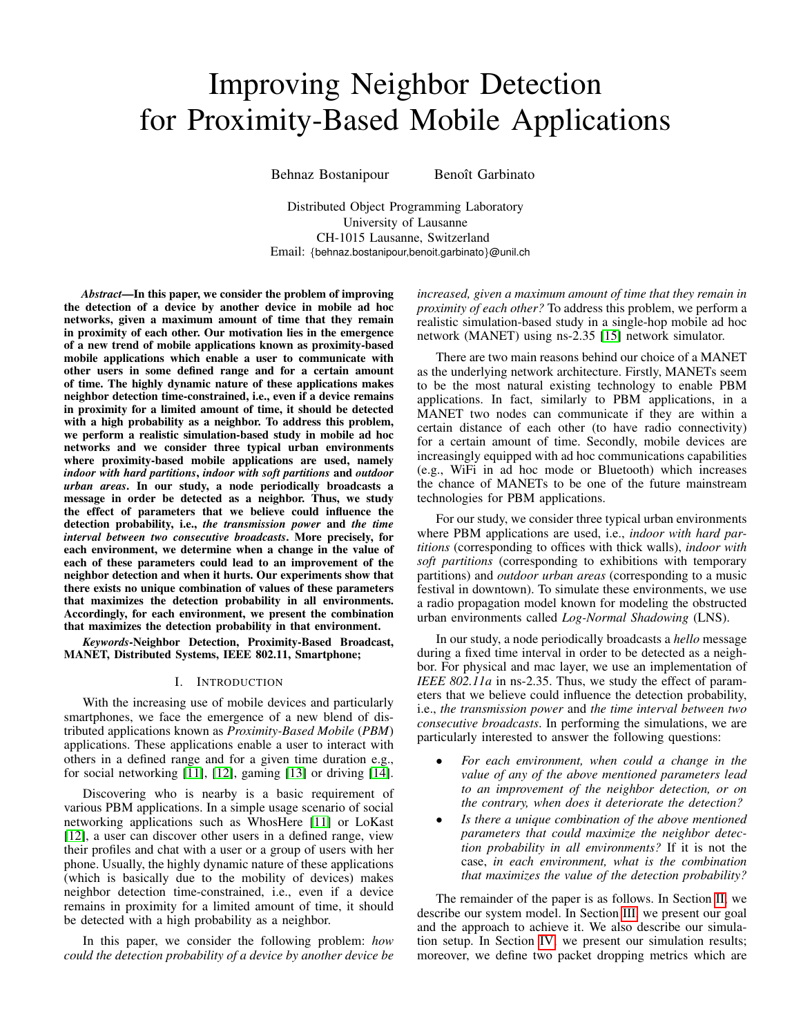# Improving Neighbor Detection for Proximity-Based Mobile Applications

Behnaz Bostanipour Benoît Garbinato

Distributed Object Programming Laboratory University of Lausanne CH-1015 Lausanne, Switzerland Email: {behnaz.bostanipour,benoit.garbinato}@unil.ch

*Abstract*—In this paper, we consider the problem of improving the detection of a device by another device in mobile ad hoc networks, given a maximum amount of time that they remain in proximity of each other. Our motivation lies in the emergence of a new trend of mobile applications known as proximity-based mobile applications which enable a user to communicate with other users in some defined range and for a certain amount of time. The highly dynamic nature of these applications makes neighbor detection time-constrained, i.e., even if a device remains in proximity for a limited amount of time, it should be detected with a high probability as a neighbor. To address this problem, we perform a realistic simulation-based study in mobile ad hoc networks and we consider three typical urban environments where proximity-based mobile applications are used, namely *indoor with hard partitions*, *indoor with soft partitions* and *outdoor urban areas*. In our study, a node periodically broadcasts a message in order be detected as a neighbor. Thus, we study the effect of parameters that we believe could influence the detection probability, i.e., *the transmission power* and *the time interval between two consecutive broadcasts*. More precisely, for each environment, we determine when a change in the value of each of these parameters could lead to an improvement of the neighbor detection and when it hurts. Our experiments show that there exists no unique combination of values of these parameters that maximizes the detection probability in all environments. Accordingly, for each environment, we present the combination that maximizes the detection probability in that environment.

*Keywords*-Neighbor Detection, Proximity-Based Broadcast, MANET, Distributed Systems, IEEE 802.11, Smartphone;

# I. INTRODUCTION

With the increasing use of mobile devices and particularly smartphones, we face the emergence of a new blend of distributed applications known as *Proximity-Based Mobile* (*PBM*) applications. These applications enable a user to interact with others in a defined range and for a given time duration e.g., for social networking [\[11\]](#page-5-0), [\[12\]](#page-5-1), gaming [\[13\]](#page-5-2) or driving [\[14\]](#page-5-3).

Discovering who is nearby is a basic requirement of various PBM applications. In a simple usage scenario of social networking applications such as WhosHere [\[11\]](#page-5-0) or LoKast [\[12\]](#page-5-1), a user can discover other users in a defined range, view their profiles and chat with a user or a group of users with her phone. Usually, the highly dynamic nature of these applications (which is basically due to the mobility of devices) makes neighbor detection time-constrained, i.e., even if a device remains in proximity for a limited amount of time, it should be detected with a high probability as a neighbor.

In this paper, we consider the following problem: *how could the detection probability of a device by another device be* *increased, given a maximum amount of time that they remain in proximity of each other?* To address this problem, we perform a realistic simulation-based study in a single-hop mobile ad hoc network (MANET) using ns-2.35 [\[15\]](#page-5-4) network simulator.

There are two main reasons behind our choice of a MANET as the underlying network architecture. Firstly, MANETs seem to be the most natural existing technology to enable PBM applications. In fact, similarly to PBM applications, in a MANET two nodes can communicate if they are within a certain distance of each other (to have radio connectivity) for a certain amount of time. Secondly, mobile devices are increasingly equipped with ad hoc communications capabilities (e.g., WiFi in ad hoc mode or Bluetooth) which increases the chance of MANETs to be one of the future mainstream technologies for PBM applications.

For our study, we consider three typical urban environments where PBM applications are used, i.e., *indoor with hard partitions* (corresponding to offices with thick walls), *indoor with soft partitions* (corresponding to exhibitions with temporary partitions) and *outdoor urban areas* (corresponding to a music festival in downtown). To simulate these environments, we use a radio propagation model known for modeling the obstructed urban environments called *Log-Normal Shadowing* (LNS).

In our study, a node periodically broadcasts a *hello* message during a fixed time interval in order to be detected as a neighbor. For physical and mac layer, we use an implementation of *IEEE 802.11a* in ns-2.35. Thus, we study the effect of parameters that we believe could influence the detection probability, i.e., *the transmission power* and *the time interval between two consecutive broadcasts*. In performing the simulations, we are particularly interested to answer the following questions:

- *For each environment, when could a change in the value of any of the above mentioned parameters lead to an improvement of the neighbor detection, or on the contrary, when does it deteriorate the detection?*
- *Is there a unique combination of the above mentioned parameters that could maximize the neighbor detection probability in all environments?* If it is not the case, *in each environment, what is the combination that maximizes the value of the detection probability?*

The remainder of the paper is as follows. In Section [II,](#page-1-0) we describe our system model. In Section [III,](#page-1-1) we present our goal and the approach to achieve it. We also describe our simulation setup. In Section [IV,](#page-2-0) we present our simulation results; moreover, we define two packet dropping metrics which are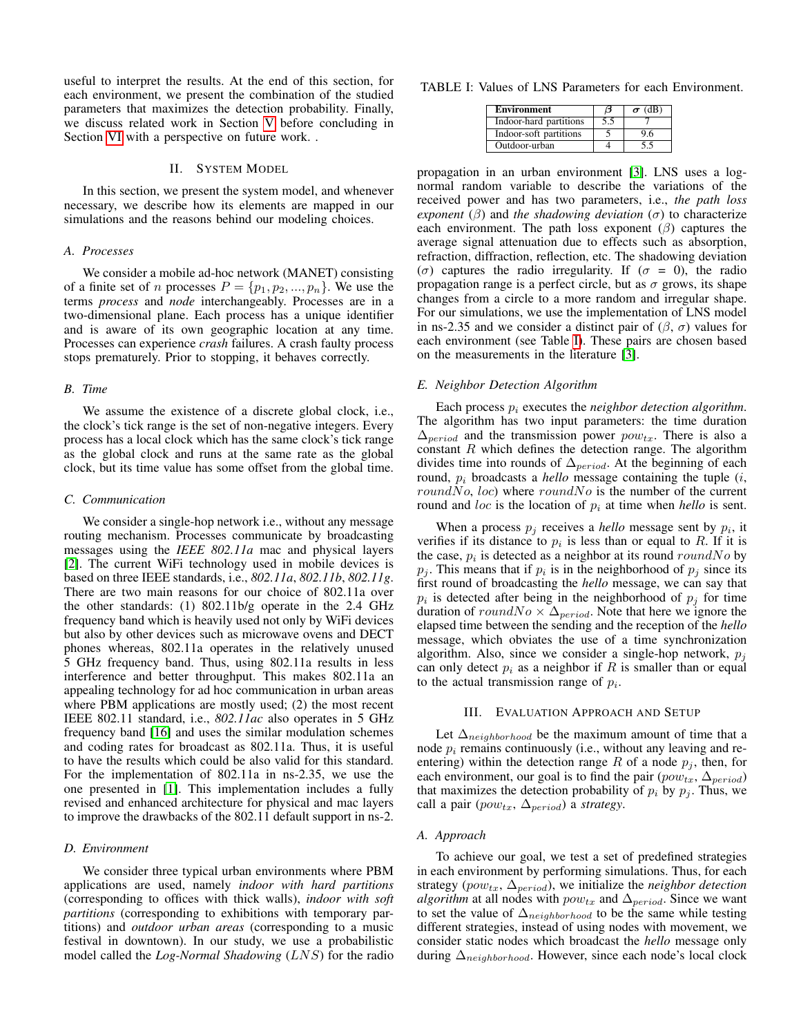useful to interpret the results. At the end of this section, for each environment, we present the combination of the studied parameters that maximizes the detection probability. Finally, we discuss related work in Section [V](#page-5-5) before concluding in Section [VI](#page-5-6) with a perspective on future work. .

## II. SYSTEM MODEL

<span id="page-1-0"></span>In this section, we present the system model, and whenever necessary, we describe how its elements are mapped in our simulations and the reasons behind our modeling choices.

### *A. Processes*

We consider a mobile ad-hoc network (MANET) consisting of a finite set of n processes  $P = \{p_1, p_2, ..., p_n\}$ . We use the terms *process* and *node* interchangeably. Processes are in a two-dimensional plane. Each process has a unique identifier and is aware of its own geographic location at any time. Processes can experience *crash* failures. A crash faulty process stops prematurely. Prior to stopping, it behaves correctly.

#### *B. Time*

We assume the existence of a discrete global clock, i.e., the clock's tick range is the set of non-negative integers. Every process has a local clock which has the same clock's tick range as the global clock and runs at the same rate as the global clock, but its time value has some offset from the global time.

#### *C. Communication*

We consider a single-hop network i.e., without any message routing mechanism. Processes communicate by broadcasting messages using the *IEEE 802.11a* mac and physical layers [\[2\]](#page-5-7). The current WiFi technology used in mobile devices is based on three IEEE standards, i.e., *802.11a*, *802.11b*, *802.11g*. There are two main reasons for our choice of 802.11a over the other standards: (1) 802.11b/g operate in the 2.4 GHz frequency band which is heavily used not only by WiFi devices but also by other devices such as microwave ovens and DECT phones whereas, 802.11a operates in the relatively unused 5 GHz frequency band. Thus, using 802.11a results in less interference and better throughput. This makes 802.11a an appealing technology for ad hoc communication in urban areas where PBM applications are mostly used; (2) the most recent IEEE 802.11 standard, i.e., *802.11ac* also operates in 5 GHz frequency band [\[16\]](#page-5-8) and uses the similar modulation schemes and coding rates for broadcast as 802.11a. Thus, it is useful to have the results which could be also valid for this standard. For the implementation of 802.11a in ns-2.35, we use the one presented in [\[1\]](#page-5-9). This implementation includes a fully revised and enhanced architecture for physical and mac layers to improve the drawbacks of the 802.11 default support in ns-2.

#### *D. Environment*

We consider three typical urban environments where PBM applications are used, namely *indoor with hard partitions* (corresponding to offices with thick walls), *indoor with soft partitions* (corresponding to exhibitions with temporary partitions) and *outdoor urban areas* (corresponding to a music festival in downtown). In our study, we use a probabilistic model called the *Log-Normal Shadowing* (LNS) for the radio

<span id="page-1-2"></span>TABLE I: Values of LNS Parameters for each Environment.

| <b>Environment</b>     | Θ   | $\sigma$ (dB) |
|------------------------|-----|---------------|
| Indoor-hard partitions | 5.5 |               |
| Indoor-soft partitions |     | 96            |
| Outdoor-urban          |     | 55            |

propagation in an urban environment [\[3\]](#page-5-10). LNS uses a lognormal random variable to describe the variations of the received power and has two parameters, i.e., *the path loss exponent* ( $\beta$ ) and *the shadowing deviation* ( $\sigma$ ) to characterize each environment. The path loss exponent  $(\beta)$  captures the average signal attenuation due to effects such as absorption, refraction, diffraction, reflection, etc. The shadowing deviation (σ) captures the radio irregularity. If (σ = 0), the radio propagation range is a perfect circle, but as  $\sigma$  grows, its shape changes from a circle to a more random and irregular shape. For our simulations, we use the implementation of LNS model in ns-2.35 and we consider a distinct pair of  $(\beta, \sigma)$  values for each environment (see Table [I\)](#page-1-2). These pairs are chosen based on the measurements in the literature [\[3\]](#page-5-10).

#### *E. Neighbor Detection Algorithm*

Each process  $p_i$  executes the *neighbor detection algorithm*. The algorithm has two input parameters: the time duration  $\Delta_{period}$  and the transmission power  $pow_{tx}$ . There is also a constant  $R$  which defines the detection range. The algorithm divides time into rounds of  $\Delta_{period}$ . At the beginning of each round,  $p_i$  broadcasts a *hello* message containing the tuple  $(i,$ roundNo, loc) where roundNo is the number of the current round and *loc* is the location of  $p_i$  at time when *hello* is sent.

When a process  $p_j$  receives a *hello* message sent by  $p_i$ , it verifies if its distance to  $p_i$  is less than or equal to R. If it is the case,  $p_i$  is detected as a neighbor at its round  $roundNo$  by  $p_j$ . This means that if  $p_i$  is in the neighborhood of  $p_j$  since its first round of broadcasting the *hello* message, we can say that  $p_i$  is detected after being in the neighborhood of  $p_j$  for time duration of  $roundNo \times \Delta_{period}$ . Note that here we ignore the elapsed time between the sending and the reception of the *hello* message, which obviates the use of a time synchronization algorithm. Also, since we consider a single-hop network,  $p_j$ can only detect  $p_i$  as a neighbor if R is smaller than or equal to the actual transmission range of  $p_i$ .

## III. EVALUATION APPROACH AND SETUP

<span id="page-1-1"></span>Let  $\Delta_{neighborhood}$  be the maximum amount of time that a node  $p_i$  remains continuously (i.e., without any leaving and reentering) within the detection range R of a node  $p_i$ , then, for each environment, our goal is to find the pair  $(pow_{tx}, \Delta_{period})$ that maximizes the detection probability of  $p_i$  by  $p_j$ . Thus, we call a pair ( $pow_{tx}$ ,  $\Delta_{period}$ ) a *strategy*.

#### <span id="page-1-3"></span>*A. Approach*

To achieve our goal, we test a set of predefined strategies in each environment by performing simulations. Thus, for each strategy ( $pow_{tx}$ ,  $\Delta_{period}$ ), we initialize the *neighbor detection algorithm* at all nodes with  $pow_{tx}$  and  $\Delta_{period}$ . Since we want to set the value of  $\Delta_{neighborhood}$  to be the same while testing different strategies, instead of using nodes with movement, we consider static nodes which broadcast the *hello* message only during  $\Delta_{neighborhood}$ . However, since each node's local clock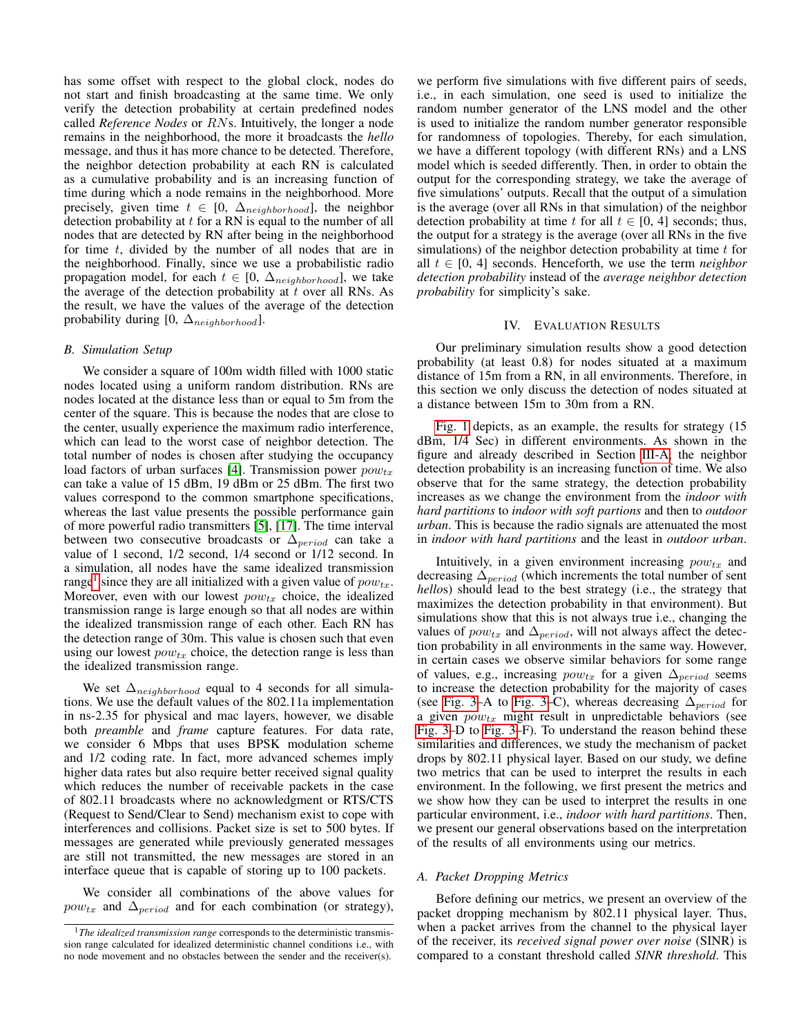has some offset with respect to the global clock, nodes do not start and finish broadcasting at the same time. We only verify the detection probability at certain predefined nodes called *Reference Nodes* or RNs. Intuitively, the longer a node remains in the neighborhood, the more it broadcasts the *hello* message, and thus it has more chance to be detected. Therefore, the neighbor detection probability at each RN is calculated as a cumulative probability and is an increasing function of time during which a node remains in the neighborhood. More precisely, given time  $t \in [0, \Delta_{neighborhood}]$ , the neighbor detection probability at  $t$  for a RN is equal to the number of all nodes that are detected by RN after being in the neighborhood for time  $t$ , divided by the number of all nodes that are in the neighborhood. Finally, since we use a probabilistic radio propagation model, for each  $t \in [0, \Delta_{neighborhood}]$ , we take the average of the detection probability at  $t$  over all RNs. As the result, we have the values of the average of the detection probability during [0,  $\Delta_{neighborhood}$ ].

## *B. Simulation Setup*

We consider a square of 100m width filled with 1000 static nodes located using a uniform random distribution. RNs are nodes located at the distance less than or equal to 5m from the center of the square. This is because the nodes that are close to the center, usually experience the maximum radio interference, which can lead to the worst case of neighbor detection. The total number of nodes is chosen after studying the occupancy load factors of urban surfaces [\[4\]](#page-5-11). Transmission power  $pow_{tx}$ can take a value of 15 dBm, 19 dBm or 25 dBm. The first two values correspond to the common smartphone specifications, whereas the last value presents the possible performance gain of more powerful radio transmitters [\[5\]](#page-5-12), [\[17\]](#page-5-13). The time interval between two consecutive broadcasts or  $\Delta_{period}$  can take a value of 1 second, 1/2 second, 1/4 second or 1/12 second. In a simulation, all nodes have the same idealized transmission range<sup>[1](#page-2-1)</sup> since they are all initialized with a given value of  $pow_{tx}$ . Moreover, even with our lowest  $pow_{tx}$  choice, the idealized transmission range is large enough so that all nodes are within the idealized transmission range of each other. Each RN has the detection range of 30m. This value is chosen such that even using our lowest  $pow_{tx}$  choice, the detection range is less than the idealized transmission range.

We set  $\Delta_{neighborhood}$  equal to 4 seconds for all simulations. We use the default values of the 802.11a implementation in ns-2.35 for physical and mac layers, however, we disable both *preamble* and *frame* capture features. For data rate, we consider 6 Mbps that uses BPSK modulation scheme and 1/2 coding rate. In fact, more advanced schemes imply higher data rates but also require better received signal quality which reduces the number of receivable packets in the case of 802.11 broadcasts where no acknowledgment or RTS/CTS (Request to Send/Clear to Send) mechanism exist to cope with interferences and collisions. Packet size is set to 500 bytes. If messages are generated while previously generated messages are still not transmitted, the new messages are stored in an interface queue that is capable of storing up to 100 packets.

We consider all combinations of the above values for  $pow_{tx}$  and  $\Delta_{period}$  and for each combination (or strategy), we perform five simulations with five different pairs of seeds, i.e., in each simulation, one seed is used to initialize the random number generator of the LNS model and the other is used to initialize the random number generator responsible for randomness of topologies. Thereby, for each simulation, we have a different topology (with different RNs) and a LNS model which is seeded differently. Then, in order to obtain the output for the corresponding strategy, we take the average of five simulations' outputs. Recall that the output of a simulation is the average (over all RNs in that simulation) of the neighbor detection probability at time t for all  $t \in [0, 4]$  seconds; thus, the output for a strategy is the average (over all RNs in the five simulations) of the neighbor detection probability at time  $t$  for all  $t \in [0, 4]$  seconds. Henceforth, we use the term *neighbor detection probability* instead of the *average neighbor detection probability* for simplicity's sake.

## IV. EVALUATION RESULTS

<span id="page-2-0"></span>Our preliminary simulation results show a good detection probability (at least 0.8) for nodes situated at a maximum distance of 15m from a RN, in all environments. Therefore, in this section we only discuss the detection of nodes situated at a distance between 15m to 30m from a RN.

[Fig. 1](#page-3-0) depicts, as an example, the results for strategy (15 dBm, 1/4 Sec) in different environments. As shown in the figure and already described in Section [III-A,](#page-1-3) the neighbor detection probability is an increasing function of time. We also observe that for the same strategy, the detection probability increases as we change the environment from the *indoor with hard partitions* to *indoor with soft partions* and then to *outdoor urban*. This is because the radio signals are attenuated the most in *indoor with hard partitions* and the least in *outdoor urban*.

Intuitively, in a given environment increasing  $pow_{tx}$  and decreasing  $\Delta_{period}$  (which increments the total number of sent *hello*s) should lead to the best strategy (i.e., the strategy that maximizes the detection probability in that environment). But simulations show that this is not always true i.e., changing the values of  $pow_{tx}$  and  $\Delta_{period}$ , will not always affect the detection probability in all environments in the same way. However, in certain cases we observe similar behaviors for some range of values, e.g., increasing  $pow_{tx}$  for a given  $\Delta_{period}$  seems to increase the detection probability for the majority of cases (see [Fig. 3–](#page-3-1)A to Fig. 3–C), whereas decreasing  $\Delta_{period}$  for a given  $pow_{tx}$  might result in unpredictable behaviors (see [Fig. 3–](#page-3-1)D to [Fig. 3–](#page-3-1)F). To understand the reason behind these similarities and differences, we study the mechanism of packet drops by 802.11 physical layer. Based on our study, we define two metrics that can be used to interpret the results in each environment. In the following, we first present the metrics and we show how they can be used to interpret the results in one particular environment, i.e., *indoor with hard partitions*. Then, we present our general observations based on the interpretation of the results of all environments using our metrics.

# *A. Packet Dropping Metrics*

Before defining our metrics, we present an overview of the packet dropping mechanism by 802.11 physical layer. Thus, when a packet arrives from the channel to the physical layer of the receiver, its *received signal power over noise* (SINR) is compared to a constant threshold called *SINR threshold*. This

<span id="page-2-1"></span><sup>&</sup>lt;sup>1</sup>The idealized transmission range corresponds to the deterministic transmission range calculated for idealized deterministic channel conditions i.e., with no node movement and no obstacles between the sender and the receiver(s).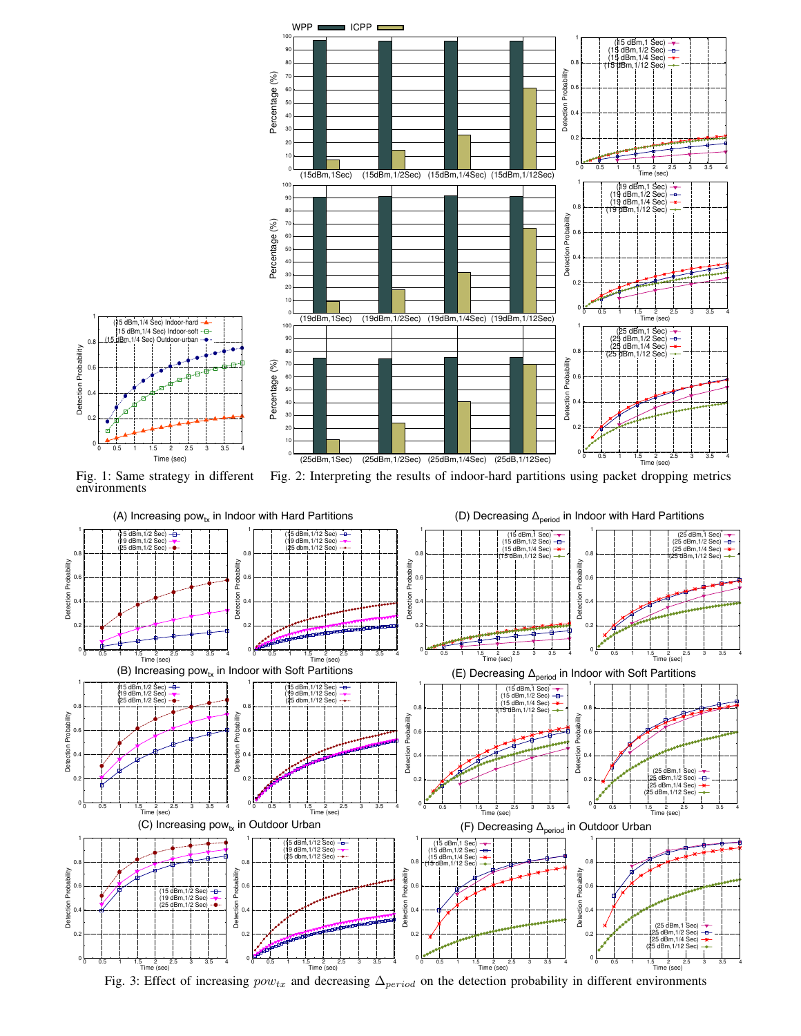<span id="page-3-0"></span>

Fig. 1: Same strategy in different environments Fig. 2: Interpreting the results of indoor-hard partitions using packet dropping metrics

<span id="page-3-2"></span>

<span id="page-3-1"></span>

Fig. 3: Effect of increasing  $pow_{tx}$  and decreasing  $\Delta_{period}$  on the detection probability in different environments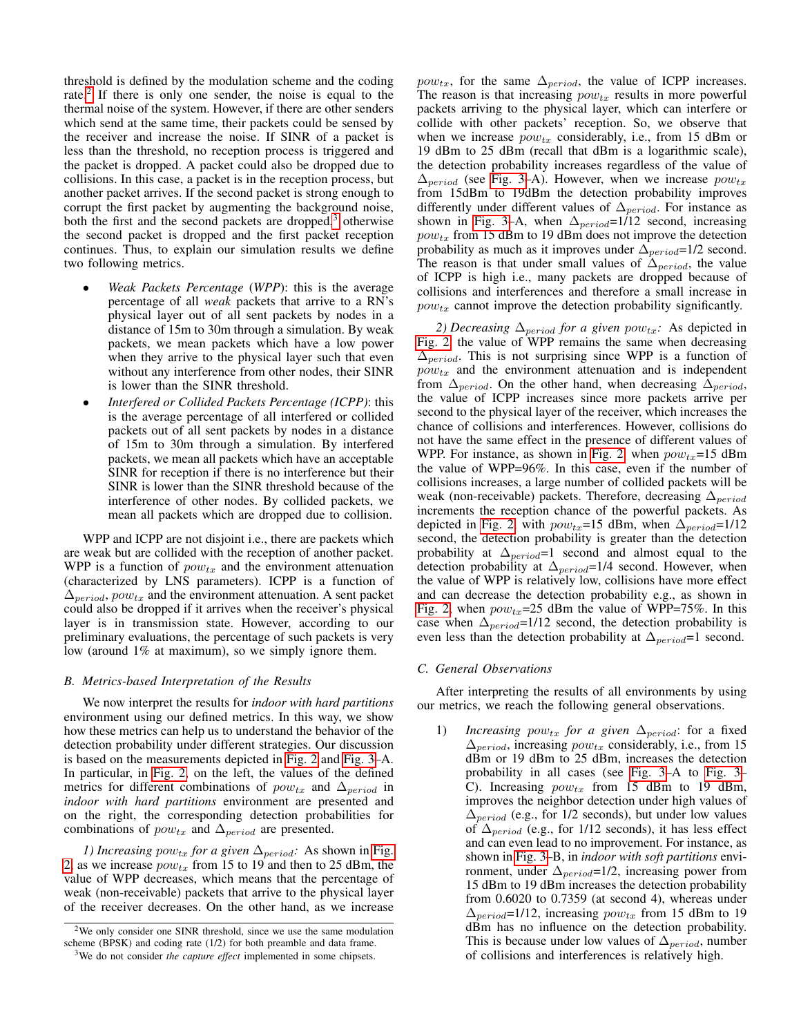threshold is defined by the modulation scheme and the coding rate.<sup>[2](#page-4-0)</sup> If there is only one sender, the noise is equal to the thermal noise of the system. However, if there are other senders which send at the same time, their packets could be sensed by the receiver and increase the noise. If SINR of a packet is less than the threshold, no reception process is triggered and the packet is dropped. A packet could also be dropped due to collisions. In this case, a packet is in the reception process, but another packet arrives. If the second packet is strong enough to corrupt the first packet by augmenting the background noise, both the first and the second packets are dropped, $3$  otherwise the second packet is dropped and the first packet reception continues. Thus, to explain our simulation results we define two following metrics.

- *Weak Packets Percentage* (*WPP*): this is the average percentage of all *weak* packets that arrive to a RN's physical layer out of all sent packets by nodes in a distance of 15m to 30m through a simulation. By weak packets, we mean packets which have a low power when they arrive to the physical layer such that even without any interference from other nodes, their SINR is lower than the SINR threshold.
- *Interfered or Collided Packets Percentage (ICPP)*: this is the average percentage of all interfered or collided packets out of all sent packets by nodes in a distance of 15m to 30m through a simulation. By interfered packets, we mean all packets which have an acceptable SINR for reception if there is no interference but their SINR is lower than the SINR threshold because of the interference of other nodes. By collided packets, we mean all packets which are dropped due to collision.

WPP and ICPP are not disjoint i.e., there are packets which are weak but are collided with the reception of another packet. WPP is a function of  $pow_{tx}$  and the environment attenuation (characterized by LNS parameters). ICPP is a function of  $\Delta_{period}$ ,  $pow_{tx}$  and the environment attenuation. A sent packet could also be dropped if it arrives when the receiver's physical layer is in transmission state. However, according to our preliminary evaluations, the percentage of such packets is very low (around 1% at maximum), so we simply ignore them.

# *B. Metrics-based Interpretation of the Results*

We now interpret the results for *indoor with hard partitions* environment using our defined metrics. In this way, we show how these metrics can help us to understand the behavior of the detection probability under different strategies. Our discussion is based on the measurements depicted in [Fig. 2](#page-3-2) and [Fig. 3–](#page-3-1)A. In particular, in [Fig. 2,](#page-3-2) on the left, the values of the defined metrics for different combinations of  $pow_{tx}$  and  $\Delta_{period}$  in *indoor with hard partitions* environment are presented and on the right, the corresponding detection probabilities for combinations of  $pow_{tx}$  and  $\Delta_{period}$  are presented.

*1) Increasing pow<sub>tx</sub> for a given*  $\Delta_{period}$ : As shown in [Fig.](#page-3-2) [2,](#page-3-2) as we increase  $pow_{tx}$  from 15 to 19 and then to 25 dBm, the value of WPP decreases, which means that the percentage of weak (non-receivable) packets that arrive to the physical layer of the receiver decreases. On the other hand, as we increase *pow<sub>tx</sub>*, for the same  $\Delta_{period}$ , the value of ICPP increases. The reason is that increasing  $pow_{tx}$  results in more powerful packets arriving to the physical layer, which can interfere or collide with other packets' reception. So, we observe that when we increase  $pow_{tx}$  considerably, i.e., from 15 dBm or 19 dBm to 25 dBm (recall that dBm is a logarithmic scale), the detection probability increases regardless of the value of  $\Delta_{period}$  (see [Fig. 3–](#page-3-1)A). However, when we increase  $pow_{tx}$ from 15dBm to 19dBm the detection probability improves differently under different values of  $\Delta_{period}$ . For instance as shown in [Fig. 3–](#page-3-1)A, when  $\Delta_{period}$ =1/12 second, increasing  $pow_{tx}$  from 15 dBm to 19 dBm does not improve the detection probability as much as it improves under  $\Delta_{period}=1/2$  second. The reason is that under small values of  $\Delta_{period}$ , the value of ICPP is high i.e., many packets are dropped because of collisions and interferences and therefore a small increase in  $pow_{tx}$  cannot improve the detection probability significantly.

*2) Decreasing*  $\Delta_{period}$  *for a given pow<sub>tx</sub>:* As depicted in [Fig. 2,](#page-3-2) the value of WPP remains the same when decreasing  $\Delta_{period}$ . This is not surprising since WPP is a function of  $pow_{tx}$  and the environment attenuation and is independent from  $\Delta_{period}$ . On the other hand, when decreasing  $\Delta_{period}$ , the value of ICPP increases since more packets arrive per second to the physical layer of the receiver, which increases the chance of collisions and interferences. However, collisions do not have the same effect in the presence of different values of WPP. For instance, as shown in [Fig. 2,](#page-3-2) when  $pow_{tx} = 15$  dBm the value of WPP=96%. In this case, even if the number of collisions increases, a large number of collided packets will be weak (non-receivable) packets. Therefore, decreasing  $\Delta_{period}$ increments the reception chance of the powerful packets. As depicted in [Fig. 2,](#page-3-2) with  $pow_{tx}$ =15 dBm, when  $\Delta_{period}$ =1/12 second, the detection probability is greater than the detection probability at  $\Delta_{period}$ =1 second and almost equal to the detection probability at  $\Delta_{period}$ =1/4 second. However, when the value of WPP is relatively low, collisions have more effect and can decrease the detection probability e.g., as shown in [Fig. 2,](#page-3-2) when  $pow_{tx} = 25$  dBm the value of WPP=75%. In this case when  $\Delta_{period}$ =1/12 second, the detection probability is even less than the detection probability at  $\Delta_{period}$ =1 second.

#### *C. General Observations*

After interpreting the results of all environments by using our metrics, we reach the following general observations.

1) *Increasing pow<sub>tx</sub> for a given*  $\Delta_{period}$ : for a fixed  $\Delta_{period}$ , increasing  $pow_{tx}$  considerably, i.e., from 15 dBm or 19 dBm to 25 dBm, increases the detection probability in all cases (see [Fig. 3–](#page-3-1)A to [Fig. 3–](#page-3-1) C). Increasing  $pow_{tx}$  from 15 dBm to 19 dBm, improves the neighbor detection under high values of  $\Delta_{period}$  (e.g., for 1/2 seconds), but under low values of  $\Delta_{period}$  (e.g., for 1/12 seconds), it has less effect and can even lead to no improvement. For instance, as shown in [Fig. 3–](#page-3-1)B, in *indoor with soft partitions* environment, under  $\Delta_{period}$ =1/2, increasing power from 15 dBm to 19 dBm increases the detection probability from 0.6020 to 0.7359 (at second 4), whereas under  $\Delta_{period}$ =1/12, increasing  $pow_{tx}$  from 15 dBm to 19 dBm has no influence on the detection probability. This is because under low values of  $\Delta_{period}$ , number of collisions and interferences is relatively high.

<span id="page-4-0"></span><sup>&</sup>lt;sup>2</sup>We only consider one SINR threshold, since we use the same modulation scheme (BPSK) and coding rate (1/2) for both preamble and data frame.

<span id="page-4-1"></span><sup>3</sup>We do not consider *the capture effect* implemented in some chipsets.